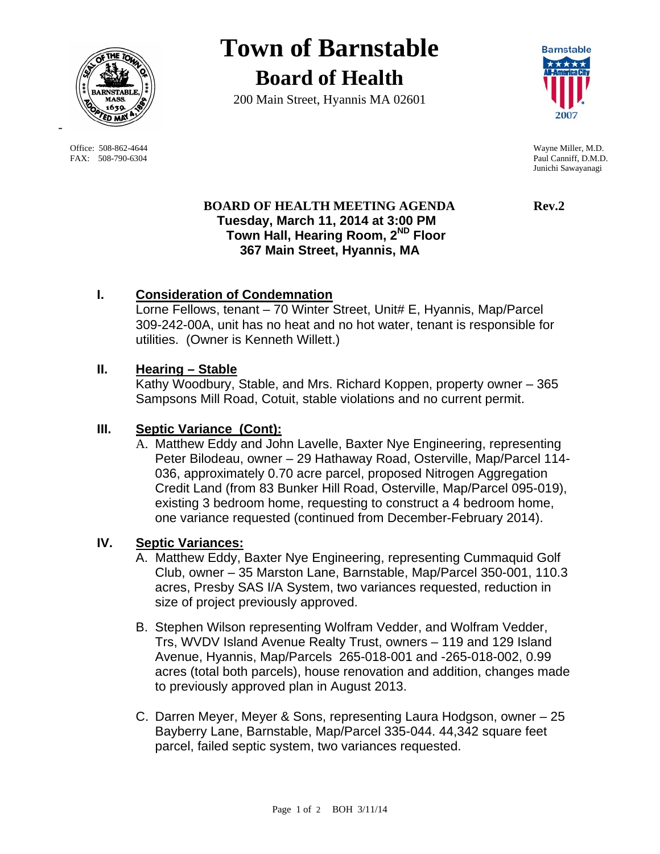

 Office: 508-862-4644 Wayne Miller, M.D. FAX: 508-790-6304 Paul Canniff, D.M.D.

-

# **Town of Barnstable Board of Health**

200 Main Street, Hyannis MA 02601



Junichi Sawayanagi

## **BOARD OF HEALTH MEETING AGENDA Rev.2 Tuesday, March 11, 2014 at 3:00 PM Town Hall, Hearing Room, 2ND Floor 367 Main Street, Hyannis, MA**

# **I. Consideration of Condemnation**

Lorne Fellows, tenant – 70 Winter Street, Unit# E, Hyannis, Map/Parcel 309-242-00A, unit has no heat and no hot water, tenant is responsible for utilities. (Owner is Kenneth Willett.)

## **II. Hearing – Stable**

Kathy Woodbury, Stable, and Mrs. Richard Koppen, property owner – 365 Sampsons Mill Road, Cotuit, stable violations and no current permit.

# **III. Septic Variance (Cont):**

A. Matthew Eddy and John Lavelle, Baxter Nye Engineering, representing Peter Bilodeau, owner – 29 Hathaway Road, Osterville, Map/Parcel 114- 036, approximately 0.70 acre parcel, proposed Nitrogen Aggregation Credit Land (from 83 Bunker Hill Road, Osterville, Map/Parcel 095-019), existing 3 bedroom home, requesting to construct a 4 bedroom home, one variance requested (continued from December-February 2014).

### **IV. Septic Variances:**

- A. Matthew Eddy, Baxter Nye Engineering, representing Cummaquid Golf Club, owner – 35 Marston Lane, Barnstable, Map/Parcel 350-001, 110.3 acres, Presby SAS I/A System, two variances requested, reduction in size of project previously approved.
- B. Stephen Wilson representing Wolfram Vedder, and Wolfram Vedder, Trs, WVDV Island Avenue Realty Trust, owners – 119 and 129 Island Avenue, Hyannis, Map/Parcels 265-018-001 and -265-018-002, 0.99 acres (total both parcels), house renovation and addition, changes made to previously approved plan in August 2013.
- C. Darren Meyer, Meyer & Sons, representing Laura Hodgson, owner 25 Bayberry Lane, Barnstable, Map/Parcel 335-044. 44,342 square feet parcel, failed septic system, two variances requested.